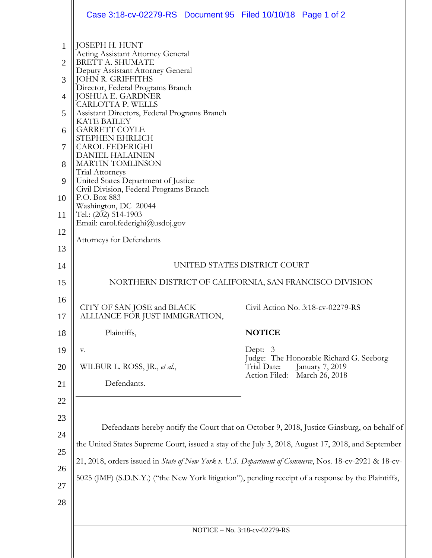|                                                                                            | Case 3:18-cv-02279-RS Document 95 Filed 10/10/18 Page 1 of 2                                                                                                                                                                                                                                                                                                                                                                                                                                                                                                                                                      |                                                                                          |  |
|--------------------------------------------------------------------------------------------|-------------------------------------------------------------------------------------------------------------------------------------------------------------------------------------------------------------------------------------------------------------------------------------------------------------------------------------------------------------------------------------------------------------------------------------------------------------------------------------------------------------------------------------------------------------------------------------------------------------------|------------------------------------------------------------------------------------------|--|
| $\mathbf{1}$<br>$\overline{2}$<br>3<br>$\overline{4}$<br>5<br>6<br>7<br>8<br>9<br>10<br>11 | JOSEPH H. HUNT<br><b>Acting Assistant Attorney General</b><br><b>BRETT A. SHUMATE</b><br>Deputy Assistant Attorney General<br><b>JOHN R. GRIFFITHS</b><br>Director, Federal Programs Branch<br><b>JOSHUA E. GARDNER</b><br>CARLOTTA P. WELLS<br>Assistant Directors, Federal Programs Branch<br><b>KATE BAILEY</b><br><b>GARRETT COYLE</b><br>STEPHEN EHRLICH<br><b>CAROL FEDERIGHI</b><br><b>DANIEL HALAINEN</b><br><b>MARTIN TOMLINSON</b><br>Trial Attorneys<br>United States Department of Justice<br>Civil Division, Federal Programs Branch<br>P.O. Box 883<br>Washington, DC 20044<br>Tel.: (202) 514-1903 |                                                                                          |  |
| 12                                                                                         | Email: carol.federighi@usdoj.gov                                                                                                                                                                                                                                                                                                                                                                                                                                                                                                                                                                                  |                                                                                          |  |
| 13                                                                                         | <b>Attorneys for Defendants</b>                                                                                                                                                                                                                                                                                                                                                                                                                                                                                                                                                                                   |                                                                                          |  |
| 14                                                                                         | UNITED STATES DISTRICT COURT                                                                                                                                                                                                                                                                                                                                                                                                                                                                                                                                                                                      |                                                                                          |  |
| 15                                                                                         | NORTHERN DISTRICT OF CALIFORNIA, SAN FRANCISCO DIVISION                                                                                                                                                                                                                                                                                                                                                                                                                                                                                                                                                           |                                                                                          |  |
| 16                                                                                         | CITY OF SAN JOSE and BLACK                                                                                                                                                                                                                                                                                                                                                                                                                                                                                                                                                                                        | Civil Action No. 3:18-cv-02279-RS                                                        |  |
| 17                                                                                         | ALLIANCE FOR JUST IMMIGRATION                                                                                                                                                                                                                                                                                                                                                                                                                                                                                                                                                                                     |                                                                                          |  |
| 18                                                                                         | Plaintiffs,                                                                                                                                                                                                                                                                                                                                                                                                                                                                                                                                                                                                       | <b>NOTICE</b>                                                                            |  |
| 19                                                                                         | V.<br>WILBUR L. ROSS, JR., et al.,                                                                                                                                                                                                                                                                                                                                                                                                                                                                                                                                                                                | Dept:<br>-3<br>Judge: The Honorable Richard G. Seeborg<br>Trial Date:<br>January 7, 2019 |  |
| 20<br>21                                                                                   | Defendants.                                                                                                                                                                                                                                                                                                                                                                                                                                                                                                                                                                                                       | Action Filed:<br>March 26, 2018                                                          |  |
| 22                                                                                         |                                                                                                                                                                                                                                                                                                                                                                                                                                                                                                                                                                                                                   |                                                                                          |  |
| 23<br>24                                                                                   | Defendants hereby notify the Court that on October 9, 2018, Justice Ginsburg, on behalf of                                                                                                                                                                                                                                                                                                                                                                                                                                                                                                                        |                                                                                          |  |
| 25                                                                                         | the United States Supreme Court, issued a stay of the July 3, 2018, August 17, 2018, and September                                                                                                                                                                                                                                                                                                                                                                                                                                                                                                                |                                                                                          |  |
| 26                                                                                         | 21, 2018, orders issued in State of New York v. U.S. Department of Commerce, Nos. 18-cv-2921 & 18-cv-<br>5025 (JMF) (S.D.N.Y.) ("the New York litigation"), pending receipt of a response by the Plaintiffs,                                                                                                                                                                                                                                                                                                                                                                                                      |                                                                                          |  |
| 27                                                                                         |                                                                                                                                                                                                                                                                                                                                                                                                                                                                                                                                                                                                                   |                                                                                          |  |
| 28                                                                                         |                                                                                                                                                                                                                                                                                                                                                                                                                                                                                                                                                                                                                   |                                                                                          |  |
|                                                                                            |                                                                                                                                                                                                                                                                                                                                                                                                                                                                                                                                                                                                                   |                                                                                          |  |
|                                                                                            | NOTICE - No. 3:18-cv-02279-RS                                                                                                                                                                                                                                                                                                                                                                                                                                                                                                                                                                                     |                                                                                          |  |
|                                                                                            |                                                                                                                                                                                                                                                                                                                                                                                                                                                                                                                                                                                                                   |                                                                                          |  |